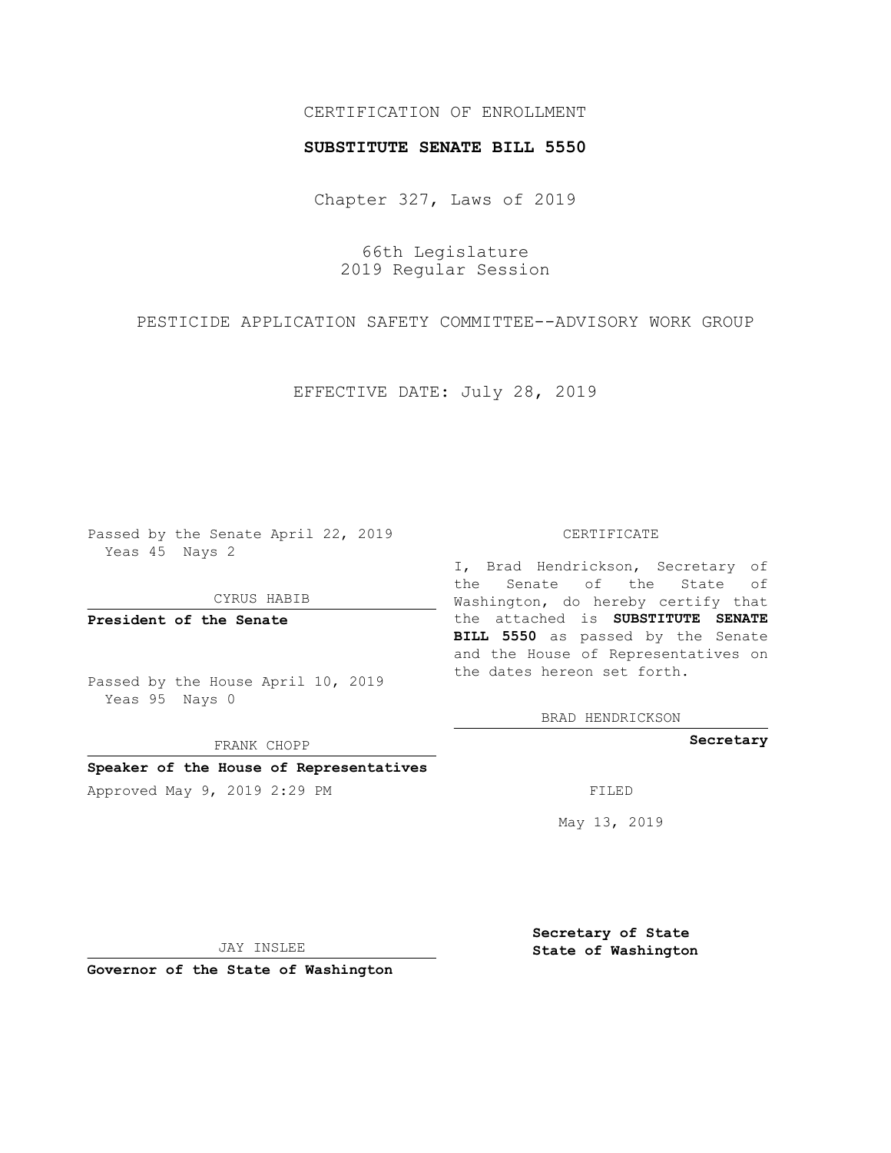## CERTIFICATION OF ENROLLMENT

### **SUBSTITUTE SENATE BILL 5550**

Chapter 327, Laws of 2019

66th Legislature 2019 Regular Session

PESTICIDE APPLICATION SAFETY COMMITTEE--ADVISORY WORK GROUP

EFFECTIVE DATE: July 28, 2019

Passed by the Senate April 22, 2019 Yeas 45 Nays 2

CYRUS HABIB

**President of the Senate**

Passed by the House April 10, 2019 Yeas 95 Nays 0

FRANK CHOPP

**Speaker of the House of Representatives**

Approved May 9, 2019 2:29 PM FILED

#### CERTIFICATE

I, Brad Hendrickson, Secretary of the Senate of the State of Washington, do hereby certify that the attached is **SUBSTITUTE SENATE BILL 5550** as passed by the Senate and the House of Representatives on the dates hereon set forth.

BRAD HENDRICKSON

**Secretary**

May 13, 2019

JAY INSLEE

**Governor of the State of Washington**

**Secretary of State State of Washington**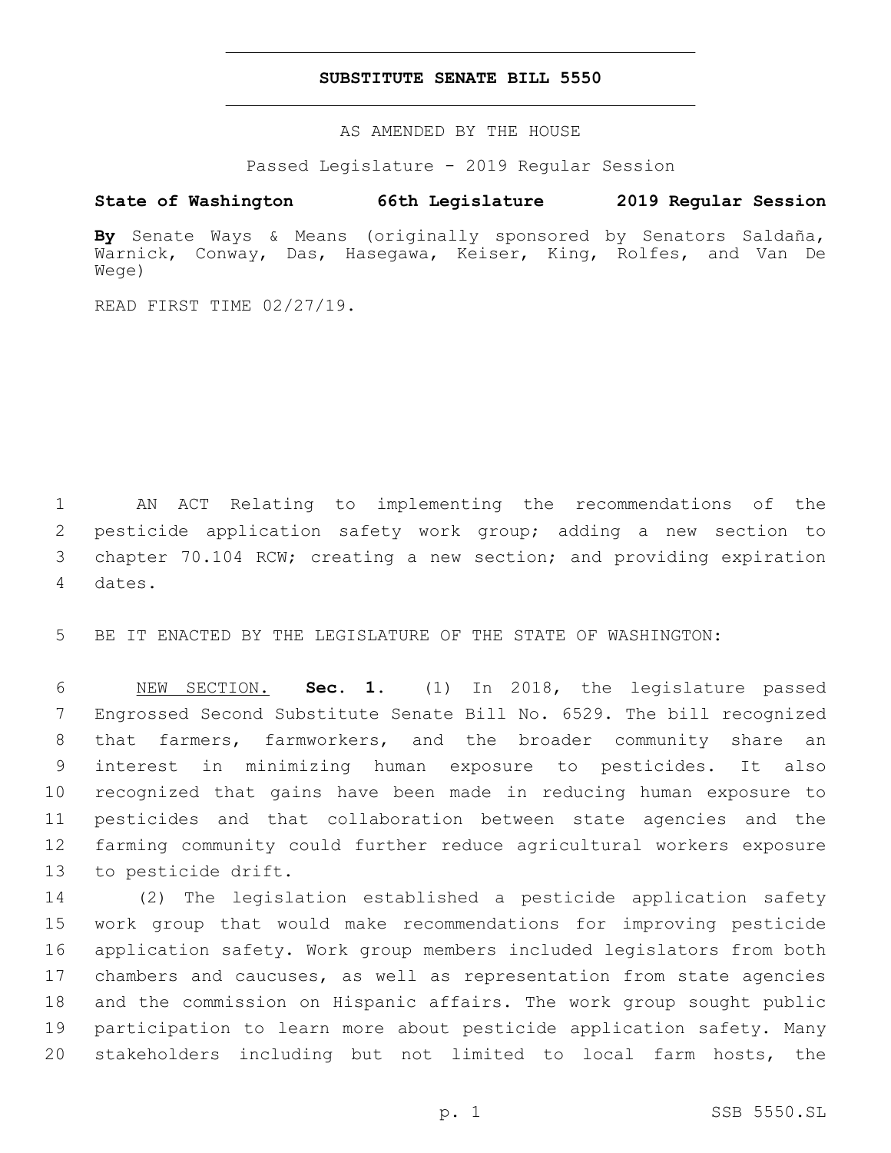## **SUBSTITUTE SENATE BILL 5550**

AS AMENDED BY THE HOUSE

Passed Legislature - 2019 Regular Session

# **State of Washington 66th Legislature 2019 Regular Session**

**By** Senate Ways & Means (originally sponsored by Senators Saldaña, Warnick, Conway, Das, Hasegawa, Keiser, King, Rolfes, and Van De Wege)

READ FIRST TIME 02/27/19.

 AN ACT Relating to implementing the recommendations of the pesticide application safety work group; adding a new section to chapter 70.104 RCW; creating a new section; and providing expiration 4 dates.

BE IT ENACTED BY THE LEGISLATURE OF THE STATE OF WASHINGTON:

 NEW SECTION. **Sec. 1.** (1) In 2018, the legislature passed Engrossed Second Substitute Senate Bill No. 6529. The bill recognized that farmers, farmworkers, and the broader community share an interest in minimizing human exposure to pesticides. It also recognized that gains have been made in reducing human exposure to pesticides and that collaboration between state agencies and the farming community could further reduce agricultural workers exposure to pesticide drift.

 (2) The legislation established a pesticide application safety work group that would make recommendations for improving pesticide application safety. Work group members included legislators from both chambers and caucuses, as well as representation from state agencies and the commission on Hispanic affairs. The work group sought public participation to learn more about pesticide application safety. Many stakeholders including but not limited to local farm hosts, the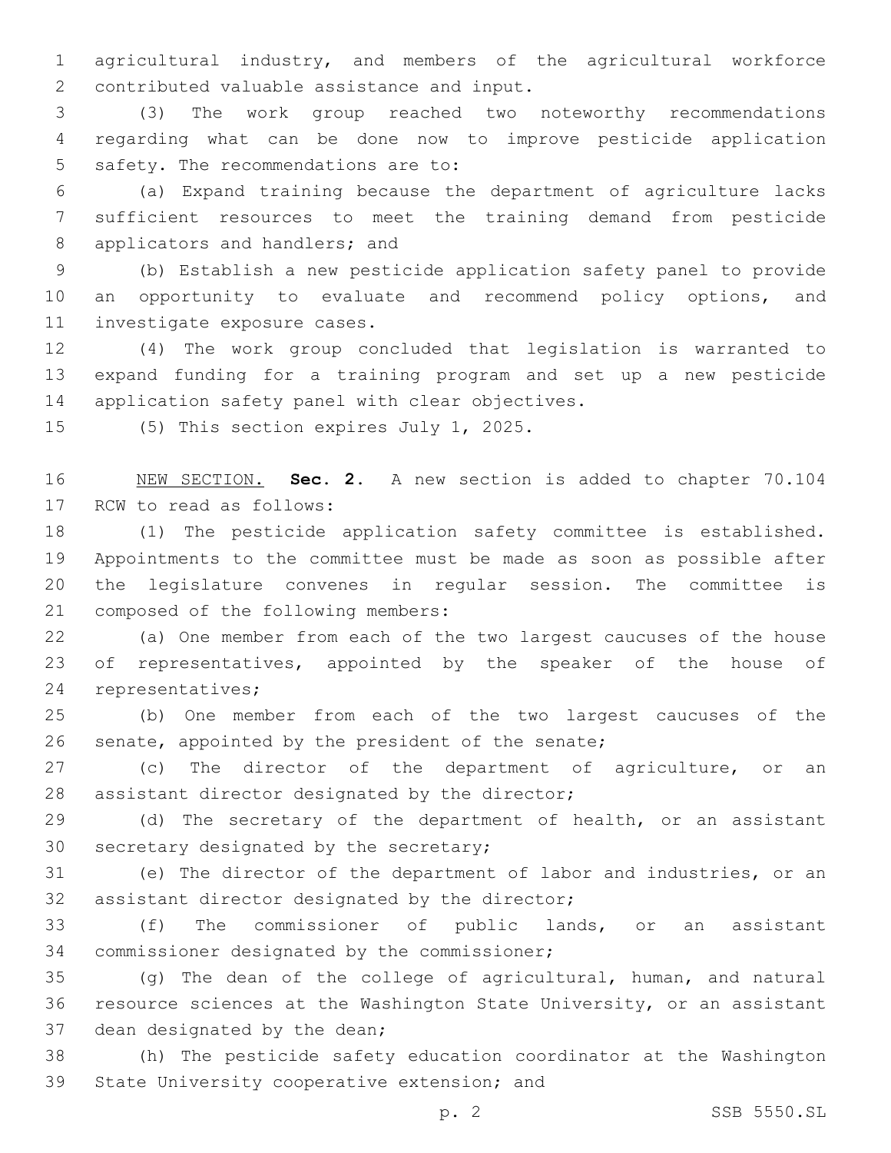1 agricultural industry, and members of the agricultural workforce 2 contributed valuable assistance and input.

3 (3) The work group reached two noteworthy recommendations 4 regarding what can be done now to improve pesticide application 5 safety. The recommendations are to:

6 (a) Expand training because the department of agriculture lacks 7 sufficient resources to meet the training demand from pesticide 8 applicators and handlers; and

9 (b) Establish a new pesticide application safety panel to provide 10 an opportunity to evaluate and recommend policy options, and 11 investigate exposure cases.

12 (4) The work group concluded that legislation is warranted to 13 expand funding for a training program and set up a new pesticide 14 application safety panel with clear objectives.

15 (5) This section expires July 1, 2025.

16 NEW SECTION. **Sec. 2.** A new section is added to chapter 70.104 17 RCW to read as follows:

 (1) The pesticide application safety committee is established. Appointments to the committee must be made as soon as possible after the legislature convenes in regular session. The committee is 21 composed of the following members:

22 (a) One member from each of the two largest caucuses of the house 23 of representatives, appointed by the speaker of the house of 24 representatives;

25 (b) One member from each of the two largest caucuses of the 26 senate, appointed by the president of the senate;

27 (c) The director of the department of agriculture, or an 28 assistant director designated by the director;

29 (d) The secretary of the department of health, or an assistant 30 secretary designated by the secretary;

31 (e) The director of the department of labor and industries, or an 32 assistant director designated by the director;

33 (f) The commissioner of public lands, or an assistant 34 commissioner designated by the commissioner;

35 (g) The dean of the college of agricultural, human, and natural 36 resource sciences at the Washington State University, or an assistant 37 dean designated by the dean;

38 (h) The pesticide safety education coordinator at the Washington 39 State University cooperative extension; and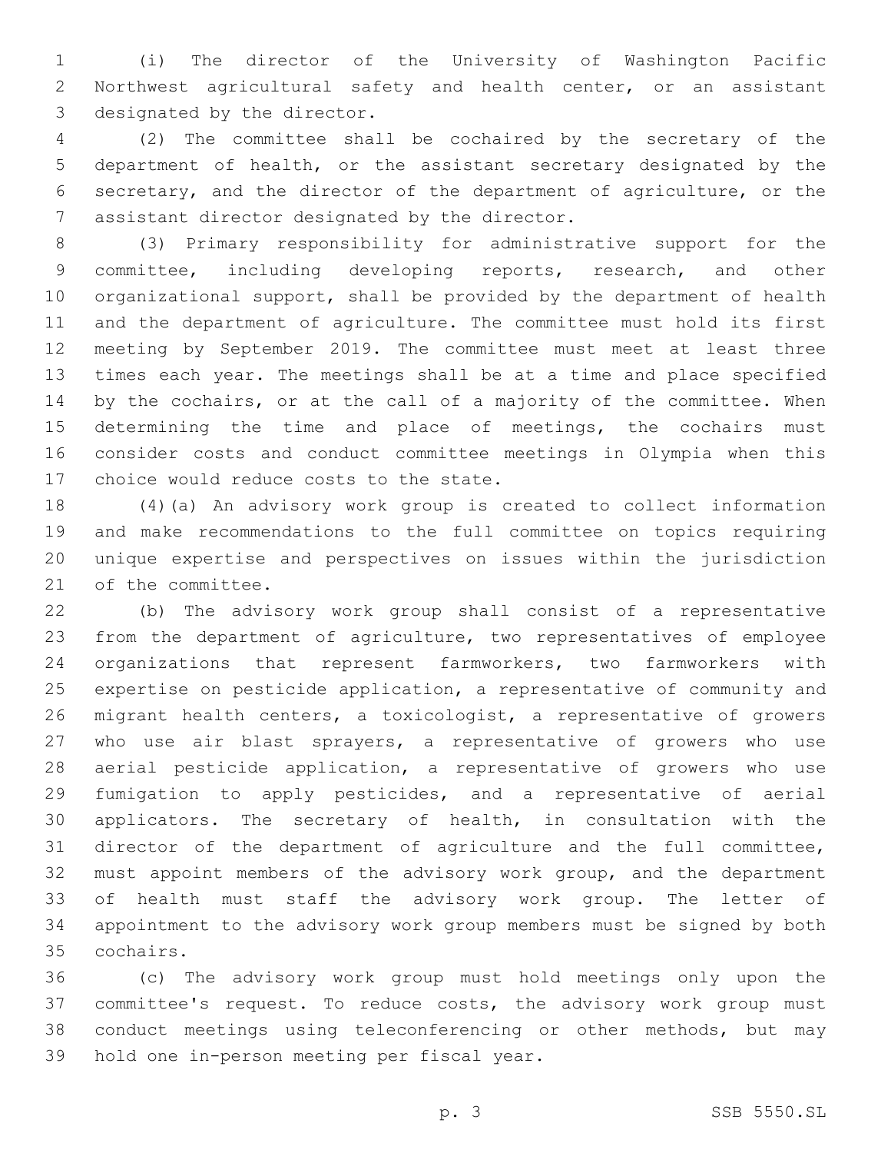(i) The director of the University of Washington Pacific Northwest agricultural safety and health center, or an assistant 3 designated by the director.

 (2) The committee shall be cochaired by the secretary of the department of health, or the assistant secretary designated by the secretary, and the director of the department of agriculture, or the 7 assistant director designated by the director.

 (3) Primary responsibility for administrative support for the committee, including developing reports, research, and other organizational support, shall be provided by the department of health and the department of agriculture. The committee must hold its first meeting by September 2019. The committee must meet at least three times each year. The meetings shall be at a time and place specified by the cochairs, or at the call of a majority of the committee. When determining the time and place of meetings, the cochairs must consider costs and conduct committee meetings in Olympia when this 17 choice would reduce costs to the state.

 (4)(a) An advisory work group is created to collect information and make recommendations to the full committee on topics requiring unique expertise and perspectives on issues within the jurisdiction 21 of the committee.

 (b) The advisory work group shall consist of a representative from the department of agriculture, two representatives of employee organizations that represent farmworkers, two farmworkers with expertise on pesticide application, a representative of community and migrant health centers, a toxicologist, a representative of growers who use air blast sprayers, a representative of growers who use aerial pesticide application, a representative of growers who use fumigation to apply pesticides, and a representative of aerial applicators. The secretary of health, in consultation with the director of the department of agriculture and the full committee, must appoint members of the advisory work group, and the department of health must staff the advisory work group. The letter of appointment to the advisory work group members must be signed by both cochairs.35

 (c) The advisory work group must hold meetings only upon the committee's request. To reduce costs, the advisory work group must conduct meetings using teleconferencing or other methods, but may 39 hold one in-person meeting per fiscal year.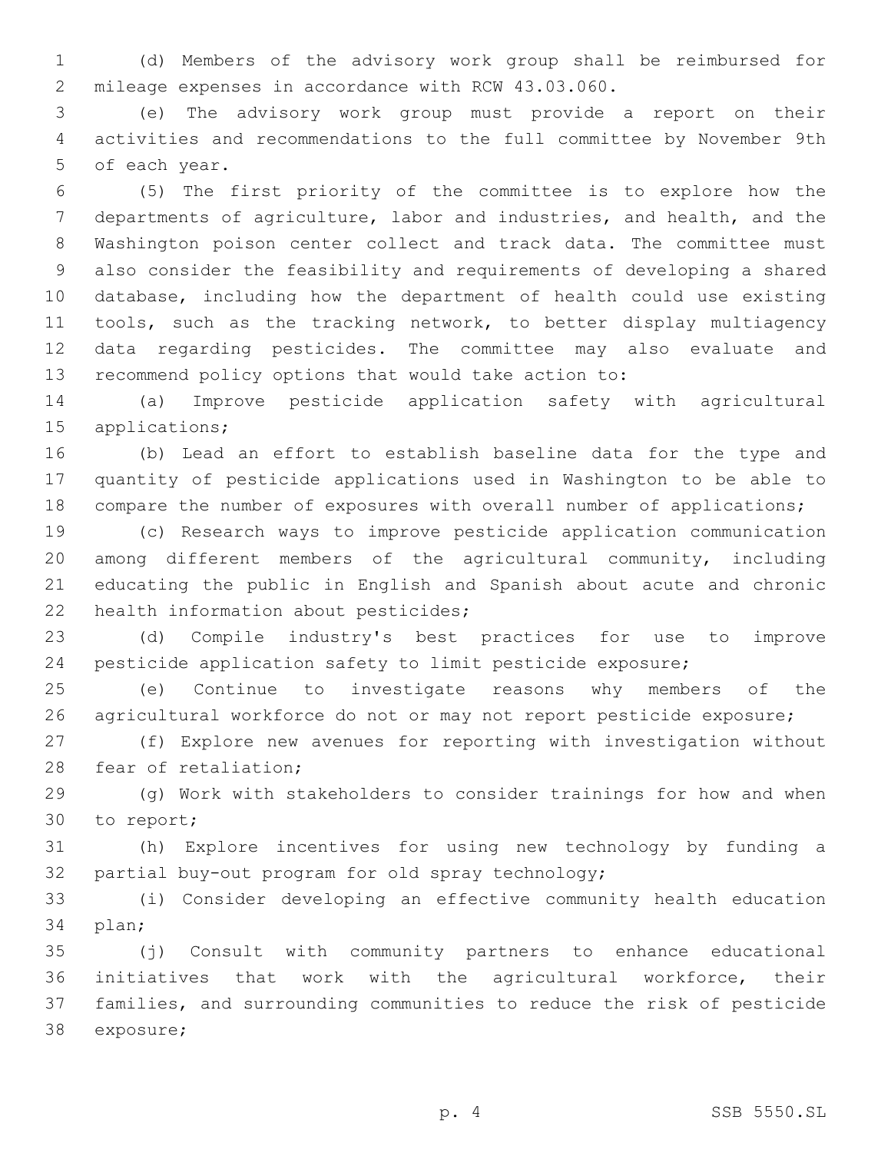(d) Members of the advisory work group shall be reimbursed for 2 mileage expenses in accordance with RCW 43.03.060.

 (e) The advisory work group must provide a report on their activities and recommendations to the full committee by November 9th 5 of each year.

 (5) The first priority of the committee is to explore how the departments of agriculture, labor and industries, and health, and the Washington poison center collect and track data. The committee must also consider the feasibility and requirements of developing a shared database, including how the department of health could use existing 11 tools, such as the tracking network, to better display multiagency data regarding pesticides. The committee may also evaluate and recommend policy options that would take action to:

 (a) Improve pesticide application safety with agricultural applications;

 (b) Lead an effort to establish baseline data for the type and quantity of pesticide applications used in Washington to be able to compare the number of exposures with overall number of applications;

 (c) Research ways to improve pesticide application communication among different members of the agricultural community, including educating the public in English and Spanish about acute and chronic 22 health information about pesticides;

 (d) Compile industry's best practices for use to improve pesticide application safety to limit pesticide exposure;

 (e) Continue to investigate reasons why members of the agricultural workforce do not or may not report pesticide exposure;

 (f) Explore new avenues for reporting with investigation without 28 fear of retaliation;

 (g) Work with stakeholders to consider trainings for how and when 30 to report;

 (h) Explore incentives for using new technology by funding a 32 partial buy-out program for old spray technology;

 (i) Consider developing an effective community health education 34 plan;

 (j) Consult with community partners to enhance educational initiatives that work with the agricultural workforce, their families, and surrounding communities to reduce the risk of pesticide 38 exposure;